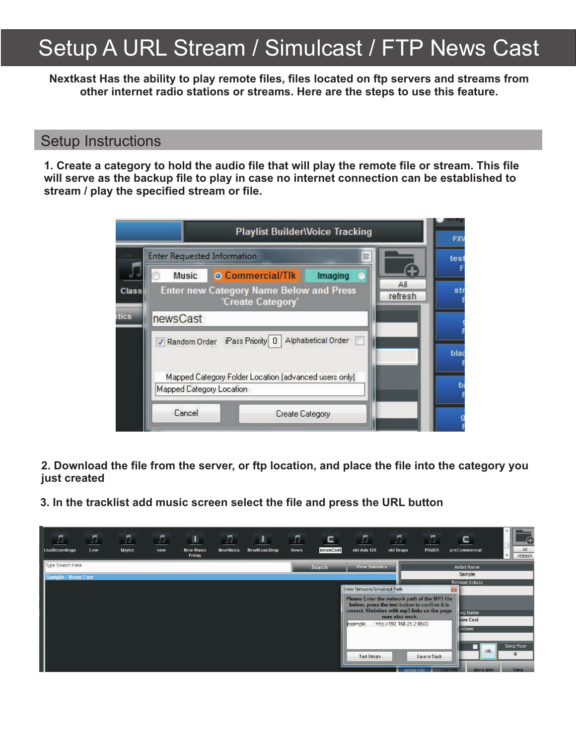## Setup A URL Stream / Simulcast / FTP News Cast

**Nextkast Has the ability to play remote files, files located on ftp servers and streams from other internet radio stations or streams. Here are the steps to use this feature.**

## Setup Instructions

**1. Create a category to hold the audio file that will play the remote file or stream. This file will serve as the backup file to play in case no internet connection can be established to stream / play the specified stream or file.**

|              |                                                       |                                                                     | <b>Playlist BuilderWoice Tracking</b> |                | <b>FXV</b> |
|--------------|-------------------------------------------------------|---------------------------------------------------------------------|---------------------------------------|----------------|------------|
|              | <b>Enter Requested Information</b>                    |                                                                     | $\Sigma$                              |                | test       |
|              | <b>Music</b>                                          | <b>O</b> Commercial/Tlk                                             | <b>Imaging</b>                        |                |            |
| <b>Class</b> |                                                       | <b>Enter new Category Name Below and Press</b><br>'Create Category' |                                       | All<br>refresh | str        |
| tics         | newsCast                                              |                                                                     |                                       |                |            |
|              |                                                       | V Random Order iPass Priority 0   Alphabetical Order                |                                       |                |            |
|              |                                                       |                                                                     |                                       |                | blac       |
|              | Mapped Category Folder Location (advanced users only) |                                                                     |                                       |                |            |
|              | Mapped Category Location                              |                                                                     |                                       |                |            |
|              | Cancel                                                | <b>Create Category</b>                                              |                                       |                |            |

**2. Download the file from the server, or ftp location, and place the file into the category you just created**

**3. In the tracklist add music screen select the file and press the URL button**